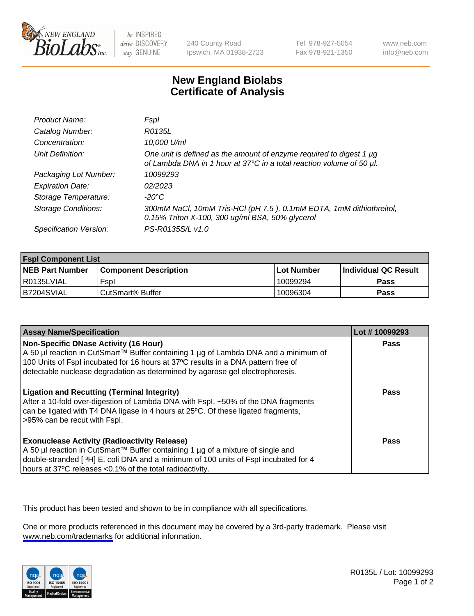

be INSPIRED drive DISCOVERY stay GENUINE

240 County Road Ipswich, MA 01938-2723 Tel 978-927-5054 Fax 978-921-1350

www.neb.com info@neb.com

## **New England Biolabs Certificate of Analysis**

| Product Name:              | Fspl                                                                                                                                        |
|----------------------------|---------------------------------------------------------------------------------------------------------------------------------------------|
| Catalog Number:            | R0135L                                                                                                                                      |
| Concentration:             | 10,000 U/ml                                                                                                                                 |
| Unit Definition:           | One unit is defined as the amount of enzyme required to digest 1 µg<br>of Lambda DNA in 1 hour at 37°C in a total reaction volume of 50 µl. |
| Packaging Lot Number:      | 10099293                                                                                                                                    |
| <b>Expiration Date:</b>    | 02/2023                                                                                                                                     |
| Storage Temperature:       | -20°C                                                                                                                                       |
| <b>Storage Conditions:</b> | 300mM NaCl, 10mM Tris-HCl (pH 7.5), 0.1mM EDTA, 1mM dithiothreitol,<br>0.15% Triton X-100, 300 ug/ml BSA, 50% glycerol                      |
| Specification Version:     | PS-R0135S/L v1.0                                                                                                                            |

| <b>Fspl Component List</b> |                              |              |                             |  |
|----------------------------|------------------------------|--------------|-----------------------------|--|
| <b>NEB Part Number</b>     | <b>Component Description</b> | l Lot Number | <b>Individual QC Result</b> |  |
| R0135LVIAL                 | Fspl                         | 10099294     | Pass                        |  |
| B7204SVIAL                 | CutSmart <sup>®</sup> Buffer | 10096304     | Pass                        |  |

| <b>Assay Name/Specification</b>                                                                                                                                                                                                                                                                           | Lot #10099293 |
|-----------------------------------------------------------------------------------------------------------------------------------------------------------------------------------------------------------------------------------------------------------------------------------------------------------|---------------|
| <b>Non-Specific DNase Activity (16 Hour)</b><br>A 50 µl reaction in CutSmart™ Buffer containing 1 µg of Lambda DNA and a minimum of<br>100 Units of Fspl incubated for 16 hours at 37°C results in a DNA pattern free of<br>detectable nuclease degradation as determined by agarose gel electrophoresis. | Pass          |
| <b>Ligation and Recutting (Terminal Integrity)</b><br>After a 10-fold over-digestion of Lambda DNA with Fspl, ~50% of the DNA fragments<br>can be ligated with T4 DNA ligase in 4 hours at 25°C. Of these ligated fragments,<br>>95% can be recut with Fspl.                                              | Pass          |
| <b>Exonuclease Activity (Radioactivity Release)</b><br>  A 50 µl reaction in CutSmart™ Buffer containing 1 µg of a mixture of single and<br>double-stranded [3H] E. coli DNA and a minimum of 100 units of Fspl incubated for 4<br>hours at 37°C releases <0.1% of the total radioactivity.               | Pass          |

This product has been tested and shown to be in compliance with all specifications.

One or more products referenced in this document may be covered by a 3rd-party trademark. Please visit <www.neb.com/trademarks>for additional information.